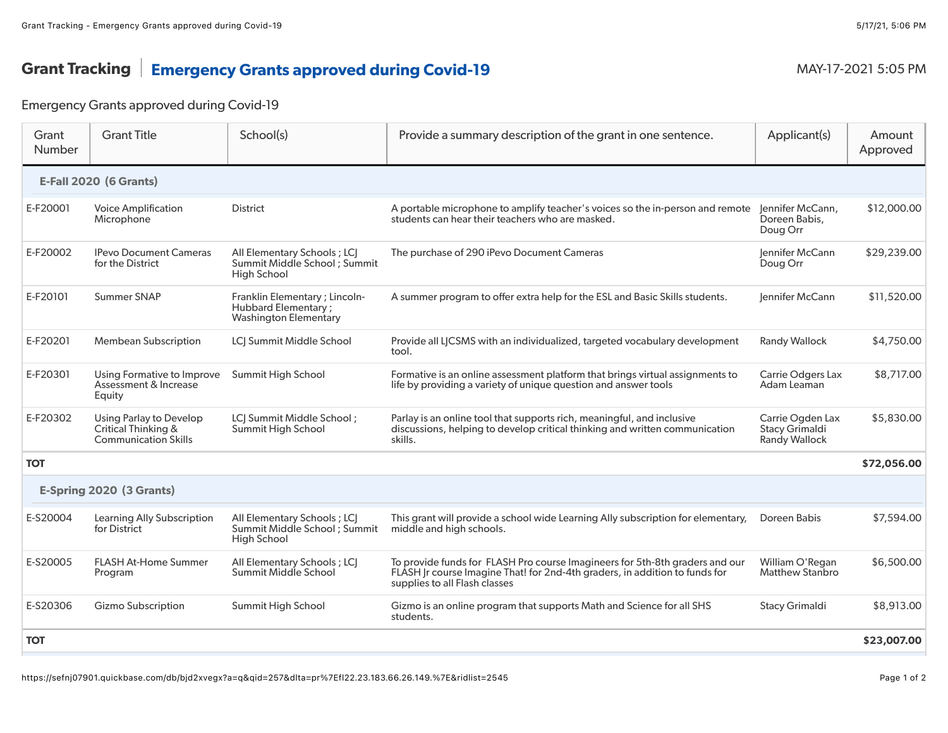## Grant Tracking | Emergency Grants approved during Covid-19 MAY-17-2021 5:05 PM

## Emergency Grants approved during Covid-19

| Grant<br>Number               | <b>Grant Title</b>                                                     | School(s)                                                                             | Provide a summary description of the grant in one sentence.                                                                                                                                  | Applicant(s)                                               | Amount<br>Approved |  |  |  |
|-------------------------------|------------------------------------------------------------------------|---------------------------------------------------------------------------------------|----------------------------------------------------------------------------------------------------------------------------------------------------------------------------------------------|------------------------------------------------------------|--------------------|--|--|--|
| <b>E-Fall 2020 (6 Grants)</b> |                                                                        |                                                                                       |                                                                                                                                                                                              |                                                            |                    |  |  |  |
| E-F20001                      | <b>Voice Amplification</b><br>Microphone                               | District                                                                              | A portable microphone to amplify teacher's voices so the in-person and remote<br>students can hear their teachers who are masked.                                                            | Jennifer McCann,<br>Doreen Babis,<br>Doug Orr              | \$12,000.00        |  |  |  |
| E-F20002                      | <b>IPevo Document Cameras</b><br>for the District                      | All Elementary Schools ; LCJ<br>Summit Middle School; Summit<br>High School           | The purchase of 290 iPevo Document Cameras                                                                                                                                                   | Jennifer McCann<br>Doug Orr                                | \$29,239.00        |  |  |  |
| E-F20101                      | Summer SNAP                                                            | Franklin Elementary ; Lincoln-<br>Hubbard Elementary;<br><b>Washington Elementary</b> | A summer program to offer extra help for the ESL and Basic Skills students.                                                                                                                  | Jennifer McCann                                            | \$11,520.00        |  |  |  |
| E-F20201                      | <b>Membean Subscription</b>                                            | LCJ Summit Middle School                                                              | Provide all LJCSMS with an individualized, targeted vocabulary development<br>tool.                                                                                                          | <b>Randy Wallock</b>                                       | \$4,750.00         |  |  |  |
| E-F20301                      | Using Formative to Improve<br>Assessment & Increase<br>Equity          | Summit High School                                                                    | Formative is an online assessment platform that brings virtual assignments to<br>life by providing a variety of unique question and answer tools                                             | Carrie Odgers Lax<br>Adam Leaman                           | \$8,717.00         |  |  |  |
| E-F20302                      | Using Parlay to Develop<br>Critical Thinking &<br>Communication Skills | <b>LCI Summit Middle School ;</b><br>Summit High School                               | Parlay is an online tool that supports rich, meaningful, and inclusive<br>discussions, helping to develop critical thinking and written communication<br>skills.                             | Carrie Ogden Lax<br><b>Stacy Grimaldi</b><br>Randy Wallock | \$5,830.00         |  |  |  |
| <b>TOT</b>                    |                                                                        |                                                                                       |                                                                                                                                                                                              |                                                            | \$72,056.00        |  |  |  |
| E-Spring 2020 (3 Grants)      |                                                                        |                                                                                       |                                                                                                                                                                                              |                                                            |                    |  |  |  |
| E-S20004                      | Learning Ally Subscription<br>for District                             | All Elementary Schools ; LCI<br>Summit Middle School; Summit<br>High School           | This grant will provide a school wide Learning Ally subscription for elementary,<br>middle and high schools.                                                                                 | Doreen Babis                                               | \$7,594.00         |  |  |  |
| E-S20005                      | <b>FLASH At-Home Summer</b><br>Program                                 | All Elementary Schools; LCJ<br>Summit Middle School                                   | To provide funds for FLASH Pro course Imagineers for 5th-8th graders and our<br>FLASH Jr course Imagine That! for 2nd-4th graders, in addition to funds for<br>supplies to all Flash classes | William O'Regan<br><b>Matthew Stanbro</b>                  | \$6,500.00         |  |  |  |
| E-S20306                      | <b>Gizmo Subscription</b>                                              | Summit High School                                                                    | Gizmo is an online program that supports Math and Science for all SHS<br>students.                                                                                                           | <b>Stacy Grimaldi</b>                                      | \$8,913.00         |  |  |  |
| <b>TOT</b>                    |                                                                        |                                                                                       |                                                                                                                                                                                              |                                                            | \$23,007.00        |  |  |  |